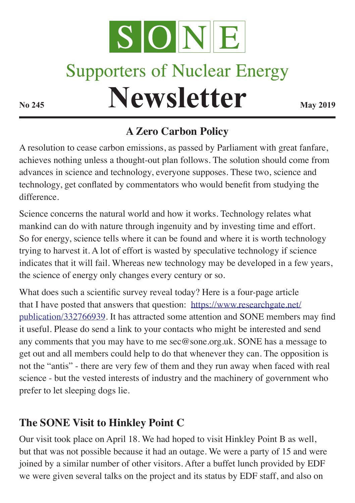

## **Supporters of Nuclear Energy**

# **Newsletter May 2019**

### **A Zero Carbon Policy**

A resolution to cease carbon emissions, as passed by Parliament with great fanfare, achieves nothing unless a thought-out plan follows. The solution should come from advances in science and technology, everyone supposes. These two, science and technology, get conflated by commentators who would benefit from studying the difference.

Science concerns the natural world and how it works. Technology relates what mankind can do with nature through ingenuity and by investing time and effort. So for energy, science tells where it can be found and where it is worth technology trying to harvest it. A lot of effort is wasted by speculative technology if science indicates that it will fail. Whereas new technology may be developed in a few years, the science of energy only changes every century or so.

What does such a scientific survey reveal today? Here is a four-page article that I have posted that answers that question: https://www.researchgate.net/ publication/332766939. It has attracted some attention and SONE members may find it useful. Please do send a link to your contacts who might be interested and send any comments that you may have to me sec@sone.org.uk. SONE has a message to get out and all members could help to do that whenever they can. The opposition is not the "antis" - there are very few of them and they run away when faced with real science - but the vested interests of industry and the machinery of government who prefer to let sleeping dogs lie.

#### **The SONE Visit to Hinkley Point C**

Our visit took place on April 18. We had hoped to visit Hinkley Point B as well, but that was not possible because it had an outage. We were a party of 15 and were joined by a similar number of other visitors. After a buffet lunch provided by EDF we were given several talks on the project and its status by EDF staff, and also on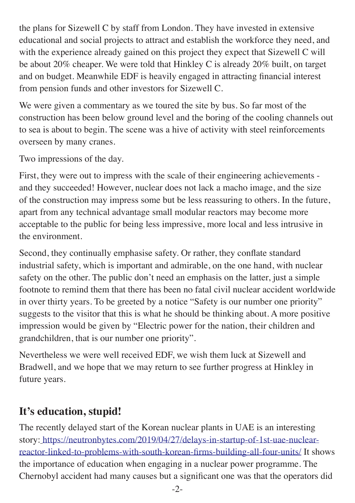the plans for Sizewell C by staff from London. They have invested in extensive educational and social projects to attract and establish the workforce they need, and with the experience already gained on this project they expect that Sizewell C will be about 20% cheaper. We were told that Hinkley C is already  $20\%$  built, on target and on budget. Meanwhile EDF is heavily engaged in attracting financial interest from pension funds and other investors for Sizewell C.

We were given a commentary as we toured the site by bus. So far most of the construction has been below ground level and the boring of the cooling channels out to sea is about to begin. The scene was a hive of activity with steel reinforcements overseen by many cranes.

Two impressions of the day.

First, they were out to impress with the scale of their engineering achievements and they succeeded! However, nuclear does not lack a macho image, and the size of the construction may impress some but be less reassuring to others. In the future, apart from any technical advantage small modular reactors may become more acceptable to the public for being less impressive, more local and less intrusive in the environment.

Second, they continually emphasise safety. Or rather, they conflate standard industrial safety, which is important and admirable, on the one hand, with nuclear safety on the other. The public don't need an emphasis on the latter, just a simple footnote to remind them that there has been no fatal civil nuclear accident worldwide in over thirty years. To be greeted by a notice "Safety is our number one priority" suggests to the visitor that this is what he should be thinking about. A more positive impression would be given by "Electric power for the nation, their children and grandchildren, that is our number one priority".

Nevertheless we were well received EDF, we wish them luck at Sizewell and Bradwell, and we hope that we may return to see further progress at Hinkley in future years.

#### **It's education, stupid!**

The recently delayed start of the Korean nuclear plants in UAE is an interesting story: https://neutronbytes.com/2019/04/27/delays-in-startup-of-1st-uae-nuclearreactor-linked-to-problems-with-south-korean-firms-building-all-four-units/ It shows the importance of education when engaging in a nuclear power programme. The Chernobyl accident had many causes but a significant one was that the operators did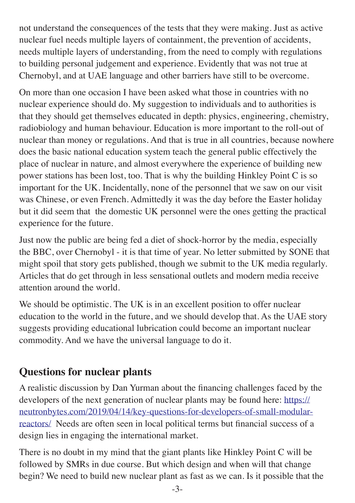not understand the consequences of the tests that they were making. Just as active nuclear fuel needs multiple layers of containment, the prevention of accidents, needs multiple layers of understanding, from the need to comply with regulations to building personal judgement and experience. Evidently that was not true at Chernobyl, and at UAE language and other barriers have still to be overcome.

On more than one occasion I have been asked what those in countries with no nuclear experience should do. My suggestion to individuals and to authorities is that they should get themselves educated in depth: physics, engineering, chemistry, radiobiology and human behaviour. Education is more important to the roll-out of nuclear than money or regulations. And that is true in all countries, because nowhere does the basic national education system teach the general public effectively the place of nuclear in nature, and almost everywhere the experience of building new power stations has been lost, too. That is why the building Hinkley Point C is so important for the UK. Incidentally, none of the personnel that we saw on our visit was Chinese, or even French. Admittedly it was the day before the Easter holiday but it did seem that the domestic UK personnel were the ones getting the practical experience for the future.

Just now the public are being fed a diet of shock-horror by the media, especially the BBC, over Chernobyl - it is that time of year. No letter submitted by SONE that might spoil that story gets published, though we submit to the UK media regularly. Articles that do get through in less sensational outlets and modern media receive attention around the world.

We should be optimistic. The UK is in an excellent position to offer nuclear education to the world in the future, and we should develop that. As the UAE story suggests providing educational lubrication could become an important nuclear commodity. And we have the universal language to do it.

#### **Questions for nuclear plants**

A realistic discussion by Dan Yurman about the financing challenges faced by the developers of the next generation of nuclear plants may be found here: https:// neutronbytes.com/2019/04/14/key-questions-for-developers-of-small-modularreactors/ Needs are often seen in local political terms but financial success of a design lies in engaging the international market.

There is no doubt in my mind that the giant plants like Hinkley Point C will be followed by SMRs in due course. But which design and when will that change begin? We need to build new nuclear plant as fast as we can. Is it possible that the